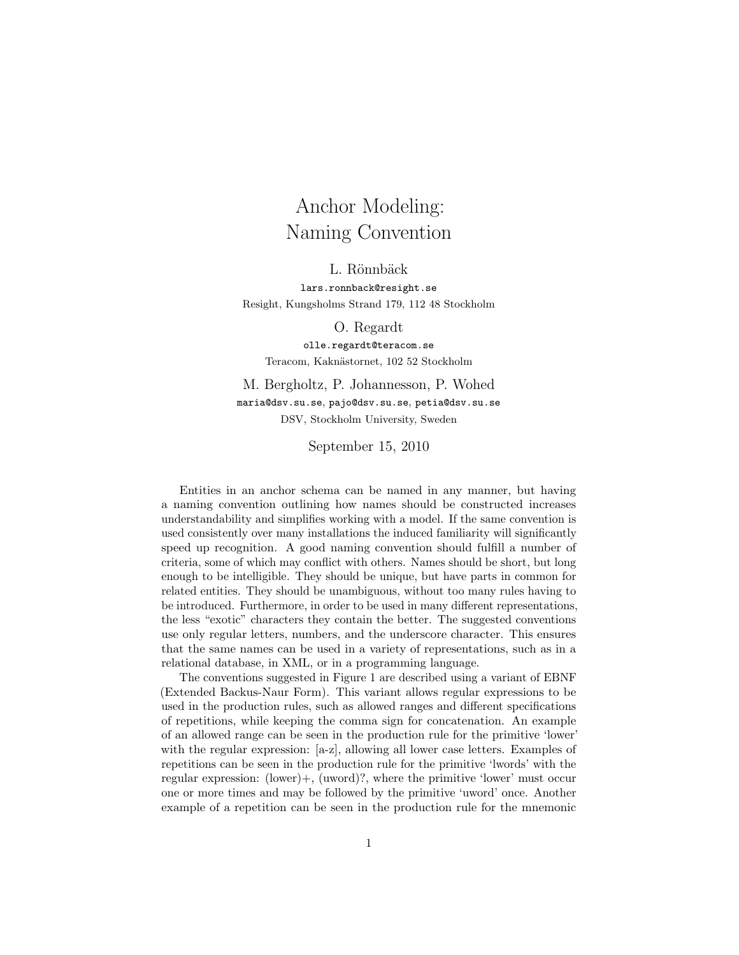## Anchor Modeling: Naming Convention

L. Rönnbäck

lars.ronnback@resight.se Resight, Kungsholms Strand 179, 112 48 Stockholm

O. Regardt

olle.regardt@teracom.se Teracom, Kaknästornet, 102 52 Stockholm

M. Bergholtz, P. Johannesson, P. Wohed maria@dsv.su.se, pajo@dsv.su.se, petia@dsv.su.se DSV, Stockholm University, Sweden

September 15, 2010

Entities in an anchor schema can be named in any manner, but having a naming convention outlining how names should be constructed increases understandability and simplifies working with a model. If the same convention is used consistently over many installations the induced familiarity will significantly speed up recognition. A good naming convention should fulfill a number of criteria, some of which may conflict with others. Names should be short, but long enough to be intelligible. They should be unique, but have parts in common for related entities. They should be unambiguous, without too many rules having to be introduced. Furthermore, in order to be used in many different representations, the less "exotic" characters they contain the better. The suggested conventions use only regular letters, numbers, and the underscore character. This ensures that the same names can be used in a variety of representations, such as in a relational database, in XML, or in a programming language.

The conventions suggested in Figure 1 are described using a variant of EBNF (Extended Backus-Naur Form). This variant allows regular expressions to be used in the production rules, such as allowed ranges and different specifications of repetitions, while keeping the comma sign for concatenation. An example of an allowed range can be seen in the production rule for the primitive 'lower' with the regular expression: [a-z], allowing all lower case letters. Examples of repetitions can be seen in the production rule for the primitive 'lwords' with the regular expression: (lower)+, (uword)?, where the primitive 'lower' must occur one or more times and may be followed by the primitive 'uword' once. Another example of a repetition can be seen in the production rule for the mnemonic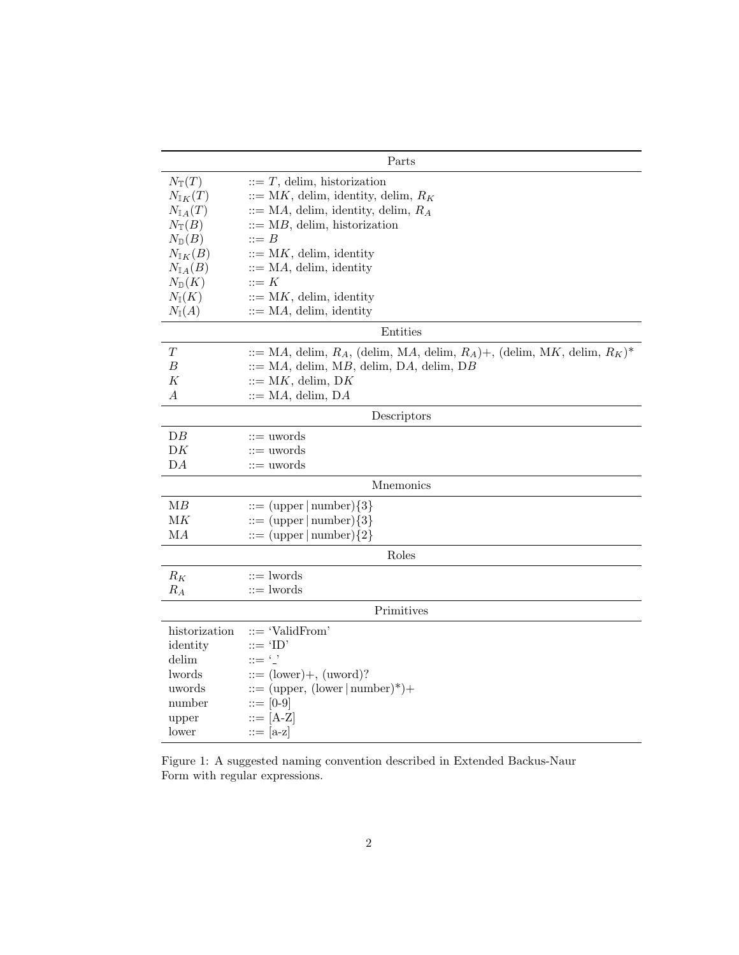| Parts                  |                                                                                          |  |  |
|------------------------|------------------------------------------------------------------------------------------|--|--|
| $N_{\mathbb{T}}(T)$    | $\mathrel{::=} T$ , delim, historization                                                 |  |  |
| $N_{\mathbb{I} K}(T)$  | $\therefore$ MK, delim, identity, delim, $R_K$                                           |  |  |
| $N_{\mathbb{I} A}(T)$  | $\mathcal{L} := MA$ , delim, identity, delim, $R_A$                                      |  |  |
| $N_{\mathbb{T}}(B)$    | $\therefore$ MB, delim, historization                                                    |  |  |
| $N_{\mathbb{D}}(B)$    | $\mathrel{\mathop:}= B$                                                                  |  |  |
| $N_{\mathbb{I} K}(B)$  | $ ::= MK$ , delim, identity                                                              |  |  |
| $N_{\mathbb{I} A}(B)$  | $\mathbf{H} = \mathbf{M} \mathbf{A}$ , delim, identity                                   |  |  |
| $N_{\mathbb{D}}(K)$    | $::=K$                                                                                   |  |  |
| $N_{\mathbb{I}}(K)$    | $ ::= MK$ , delim, identity                                                              |  |  |
| $N_{\mathbb{I}}(A)$    | $\mathbf{H} = \mathbf{M}A$ , delim, identity                                             |  |  |
| Entities               |                                                                                          |  |  |
| Т                      | $\therefore$ MA, delim, $R_A$ , (delim, MA, delim, $R_A$ )+, (delim, MK, delim, $R_K$ )* |  |  |
| В                      | $ ::= MA$ , delim, MB, delim, DA, delim, DB                                              |  |  |
| K                      | $ ::= MK$ , delim, DK                                                                    |  |  |
| $\boldsymbol{A}$       | $ ::= MA$ , delim, DA                                                                    |  |  |
| Descriptors            |                                                                                          |  |  |
| $DB$                   | $\mathrel{\mathop:}=$ uwords                                                             |  |  |
| DK                     | $ ::=$ uwords                                                                            |  |  |
| DA                     | $ ::=$ uwords                                                                            |  |  |
| Mnemonics              |                                                                                          |  |  |
| MB                     | $ ::= (upper  number){3}$                                                                |  |  |
| $\mathbf{M}\mathbf{K}$ | $ ::= (upper  number){3}$                                                                |  |  |
| MA                     | $ ::= (upper  number) \{2\}$                                                             |  |  |
| Roles                  |                                                                                          |  |  |
| $R_K$                  | $ ::=$ lwords                                                                            |  |  |
| $R_A$                  | $ ::=$ lwords                                                                            |  |  |
| Primitives             |                                                                                          |  |  |
| historization          | ::= 'ValidFrom'                                                                          |  |  |
| identity               | $ ::= 'ID'$                                                                              |  |  |
| delim                  | $ ::= '$                                                                                 |  |  |
| lwords                 | $ ::= (lower) +, (uword)?$                                                               |  |  |
| uwords                 | $ ::= (upper, (lower   number)* )+$                                                      |  |  |
| number                 | $ ::= [0-9]$                                                                             |  |  |
| upper                  | $ ::= [A-Z]$                                                                             |  |  |
| lower                  | $ ::= [a-z]$                                                                             |  |  |
|                        |                                                                                          |  |  |

Figure 1: A suggested naming convention described in Extended Backus-Naur Form with regular expressions.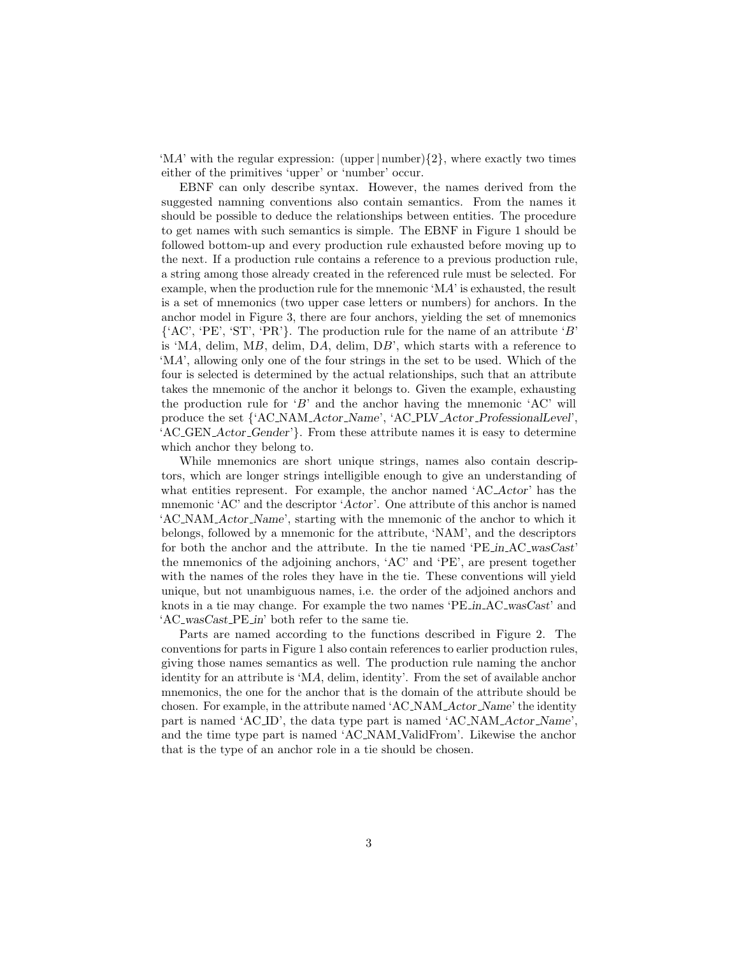'MA' with the regular expression: (upper  $|\text{number}\rangle\{2\}$ , where exactly two times either of the primitives 'upper' or 'number' occur.

EBNF can only describe syntax. However, the names derived from the suggested namning conventions also contain semantics. From the names it should be possible to deduce the relationships between entities. The procedure to get names with such semantics is simple. The EBNF in Figure 1 should be followed bottom-up and every production rule exhausted before moving up to the next. If a production rule contains a reference to a previous production rule, a string among those already created in the referenced rule must be selected. For example, when the production rule for the mnemonic 'MA' is exhausted, the result is a set of mnemonics (two upper case letters or numbers) for anchors. In the anchor model in Figure 3, there are four anchors, yielding the set of mnemonics  ${^{\circ}AC}$ , 'PE', 'ST', 'PR'}. The production rule for the name of an attribute 'B' is 'MA, delim, MB, delim, DA, delim, DB', which starts with a reference to 'MA', allowing only one of the four strings in the set to be used. Which of the four is selected is determined by the actual relationships, such that an attribute takes the mnemonic of the anchor it belongs to. Given the example, exhausting the production rule for  $B'$  and the anchor having the mnemonic  $AC'$  will produce the set {'AC NAM Actor Name', 'AC PLV Actor ProfessionalLevel', 'AC GEN Actor Gender'}. From these attribute names it is easy to determine which anchor they belong to.

While mnemonics are short unique strings, names also contain descriptors, which are longer strings intelligible enough to give an understanding of what entities represent. For example, the anchor named 'AC<sub>-</sub>Actor' has the mnemonic 'AC' and the descriptor 'Actor'. One attribute of this anchor is named 'AC NAM Actor Name', starting with the mnemonic of the anchor to which it belongs, followed by a mnemonic for the attribute, 'NAM', and the descriptors for both the anchor and the attribute. In the tie named 'PE in AC wasCast' the mnemonics of the adjoining anchors, 'AC' and 'PE', are present together with the names of the roles they have in the tie. These conventions will yield unique, but not unambiguous names, i.e. the order of the adjoined anchors and knots in a tie may change. For example the two names 'PE in AC wasCast' and 'AC wasCast PE in' both refer to the same tie.

Parts are named according to the functions described in Figure 2. The conventions for parts in Figure 1 also contain references to earlier production rules, giving those names semantics as well. The production rule naming the anchor identity for an attribute is 'MA, delim, identity'. From the set of available anchor mnemonics, the one for the anchor that is the domain of the attribute should be chosen. For example, in the attribute named 'AC\_NAM\_Actor\_Name' the identity part is named 'AC ID', the data type part is named 'AC NAM Actor Name', and the time type part is named 'AC NAM ValidFrom'. Likewise the anchor that is the type of an anchor role in a tie should be chosen.